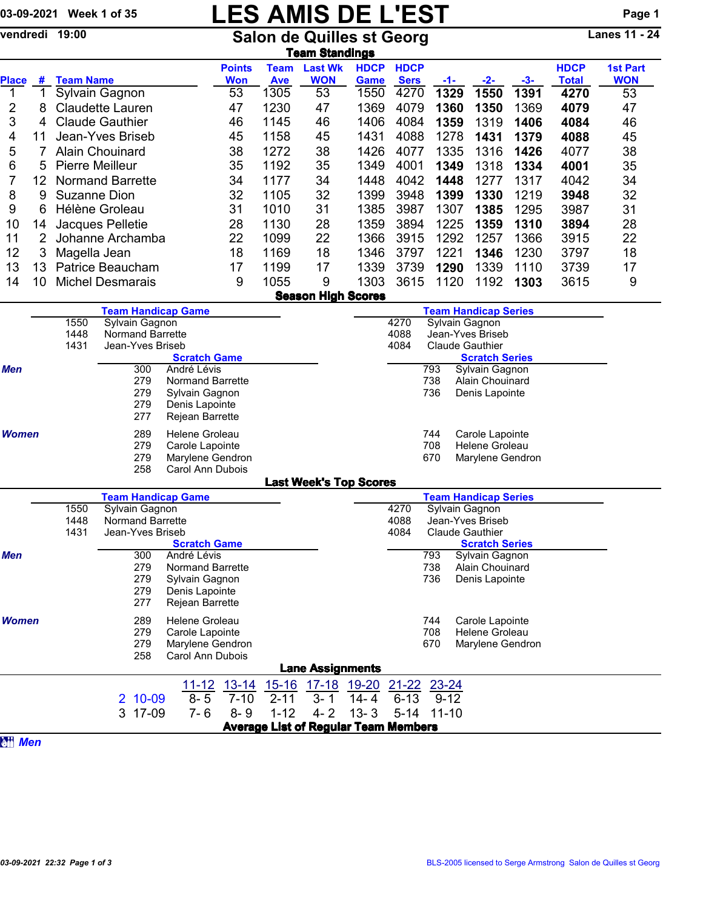## 03-09-2021 Week 1 of 35 **LES AMIS DE L'EST** Page 1

vendredi 19:00 Salon de Quilles st Georg Lanes 11 - 24

|                              |                                                    |                                                      |                                             |                                        |                             |                                                 | <b>Team Standings</b>                       |                            |                            |                                               |                                   |       |                      |                               |
|------------------------------|----------------------------------------------------|------------------------------------------------------|---------------------------------------------|----------------------------------------|-----------------------------|-------------------------------------------------|---------------------------------------------|----------------------------|----------------------------|-----------------------------------------------|-----------------------------------|-------|----------------------|-------------------------------|
|                              |                                                    |                                                      |                                             |                                        | <b>Points</b><br><b>Won</b> | <b>Team</b>                                     | <b>Last Wk</b><br><b>WON</b>                | <b>HDCP</b><br><b>Game</b> | <b>HDCP</b><br><b>Sers</b> |                                               |                                   | $-3-$ | <b>HDCP</b>          | <b>1st Part</b><br><b>WON</b> |
| <b>Place</b><br>$\mathbf{1}$ | #<br>$\mathbf{1}$                                  | <b>Team Name</b>                                     | Sylvain Gagnon                              |                                        | 53                          | <b>Ave</b><br>1305                              | 53                                          | 1550                       | 4270                       | -1-<br>1329                                   | $-2-$<br>1550                     | 1391  | <b>Total</b><br>4270 | 53                            |
| 2                            | 8                                                  |                                                      | <b>Claudette Lauren</b>                     |                                        | 47                          | 1230                                            | 47                                          | 1369                       | 4079                       | 1360                                          | 1350                              | 1369  | 4079                 | 47                            |
| 3                            | 4                                                  | <b>Claude Gauthier</b>                               |                                             | 46                                     | 1145                        | 46                                              | 1406                                        | 4084                       | 1359                       | 1319                                          | 1406                              | 4084  | 46                   |                               |
| 4                            | 11                                                 | Jean-Yves Briseb                                     |                                             |                                        | 45                          | 1158                                            | 45                                          | 1431                       | 4088                       | 1278                                          | 1431                              | 1379  | 4088                 | 45                            |
| 5                            | 7                                                  | <b>Alain Chouinard</b>                               |                                             |                                        | 38                          | 1272                                            | 38                                          | 1426                       | 4077                       | 1335                                          | 1316                              | 1426  | 4077                 | 38                            |
| 6                            | 5                                                  | <b>Pierre Meilleur</b>                               |                                             |                                        | 35                          | 1192                                            | 35                                          | 1349                       | 4001                       | 1349                                          | 1318                              | 1334  | 4001                 | 35                            |
| 7                            | 12                                                 | <b>Normand Barrette</b>                              |                                             |                                        | 34                          | 1177                                            | 34                                          | 1448                       | 4042                       | 1448                                          | 1277                              | 1317  | 4042                 | 34                            |
| 8                            | 9                                                  | Suzanne Dion                                         |                                             |                                        | 32                          | 1105                                            | 32                                          | 1399                       | 3948                       | 1399                                          | 1330                              | 1219  | 3948                 | 32                            |
| 9                            |                                                    |                                                      | Hélène Groleau                              |                                        | 31                          | 1010                                            | 31                                          | 1385                       | 3987                       | 1307                                          | 1385                              | 1295  | 3987                 | 31                            |
| 10                           | 6                                                  |                                                      |                                             |                                        | 28                          | 1130                                            | 28                                          | 1359                       | 3894                       | 1225                                          | 1359                              | 1310  | 3894                 | 28                            |
| 11                           | 14<br>$\overline{2}$                               |                                                      | Jacques Pelletie<br>Johanne Archamba        |                                        | 22                          | 1099                                            | 22                                          | 1366                       | 3915                       | 1292                                          | 1257                              | 1366  | 3915                 | 22                            |
| 12                           |                                                    |                                                      |                                             |                                        | 18                          | 1169                                            | 18                                          | 1346                       | 3797                       | 1221                                          | 1346                              | 1230  |                      |                               |
| 13                           | 3                                                  | Magella Jean                                         | Patrice Beaucham                            |                                        |                             |                                                 | 17                                          | 1339                       | 3739                       |                                               |                                   |       | 3797                 | 18                            |
|                              | 13                                                 |                                                      |                                             |                                        | 17                          | 1199                                            |                                             |                            |                            | 1290                                          | 1339                              | 1110  | 3739                 | 17                            |
| 14                           | 10                                                 |                                                      | <b>Michel Desmarais</b>                     |                                        | 9                           | 1055                                            | 9                                           | 1303                       | 3615                       | 1120                                          | 1192                              | 1303  | 3615                 | 9                             |
|                              |                                                    |                                                      |                                             |                                        |                             |                                                 | <b>Season High Scores</b>                   |                            |                            |                                               |                                   |       |                      |                               |
|                              |                                                    | 1550                                                 | <b>Team Handicap Game</b><br>Sylvain Gagnon |                                        |                             |                                                 |                                             |                            | 4270                       | <b>Team Handicap Series</b><br>Sylvain Gagnon |                                   |       |                      |                               |
|                              |                                                    | 1448                                                 | Normand Barrette                            |                                        |                             |                                                 |                                             |                            | 4088                       |                                               | Jean-Yves Briseb                  |       |                      |                               |
|                              |                                                    | 1431                                                 | Jean-Yves Briseb                            | <b>Scratch Game</b>                    |                             | 4084<br><b>Claude Gauthier</b>                  |                                             |                            |                            |                                               |                                   |       |                      |                               |
|                              |                                                    |                                                      |                                             |                                        |                             |                                                 |                                             |                            | <b>Scratch Series</b>      |                                               |                                   |       |                      |                               |
| <b>Men</b>                   |                                                    | 300<br>André Lévis<br>279<br><b>Normand Barrette</b> |                                             |                                        |                             | 793<br>Sylvain Gagnon<br>738<br>Alain Chouinard |                                             |                            |                            |                                               |                                   |       |                      |                               |
|                              |                                                    |                                                      | 279                                         | Sylvain Gagnon                         |                             |                                                 |                                             |                            |                            | 736                                           | Denis Lapointe                    |       |                      |                               |
|                              |                                                    |                                                      | 279                                         | Denis Lapointe                         |                             |                                                 |                                             |                            |                            |                                               |                                   |       |                      |                               |
|                              |                                                    |                                                      | 277                                         | Rejean Barrette                        |                             |                                                 |                                             |                            |                            |                                               |                                   |       |                      |                               |
| <b>Women</b>                 |                                                    | 289<br>Helene Groleau<br>279<br>Carole Lapointe      |                                             |                                        |                             | 744<br>Carole Lapointe                          |                                             |                            |                            |                                               |                                   |       |                      |                               |
|                              |                                                    |                                                      |                                             |                                        |                             |                                                 |                                             |                            |                            | 708                                           | Helene Groleau                    |       |                      |                               |
|                              |                                                    |                                                      | 279                                         | Marylene Gendron                       |                             |                                                 |                                             |                            |                            | 670                                           | Marylene Gendron                  |       |                      |                               |
|                              |                                                    |                                                      | 258                                         | Carol Ann Dubois                       |                             |                                                 | <b>Last Week's Top Scores</b>               |                            |                            |                                               |                                   |       |                      |                               |
|                              |                                                    |                                                      | <b>Team Handicap Game</b>                   |                                        |                             |                                                 |                                             |                            |                            |                                               | <b>Team Handicap Series</b>       |       |                      |                               |
|                              |                                                    | 1550                                                 | Sylvain Gagnon                              |                                        |                             |                                                 |                                             |                            | 4270                       |                                               | Sylvain Gagnon                    |       |                      |                               |
|                              |                                                    | 1448                                                 | Normand Barrette                            |                                        |                             |                                                 | 4088<br>Jean-Yves Briseb                    |                            |                            |                                               |                                   |       |                      |                               |
|                              |                                                    | 1431                                                 | Jean-Yves Briseb                            |                                        |                             |                                                 |                                             |                            | 4084                       |                                               | <b>Claude Gauthier</b>            |       |                      |                               |
|                              |                                                    |                                                      |                                             | <b>Scratch Game</b>                    |                             |                                                 |                                             |                            |                            |                                               | <b>Scratch Series</b>             |       |                      |                               |
| <b>Men</b>                   |                                                    |                                                      | 300<br>279                                  | André Lévis<br><b>Normand Barrette</b> |                             |                                                 |                                             |                            |                            | 793<br>738                                    | Sylvain Gagnon<br>Alain Chouinard |       |                      |                               |
|                              |                                                    |                                                      | 279                                         | Sylvain Gagnon                         |                             |                                                 |                                             |                            |                            | 736                                           | Denis Lapointe                    |       |                      |                               |
|                              |                                                    |                                                      | 279                                         | Denis Lapointe                         |                             |                                                 |                                             |                            |                            |                                               |                                   |       |                      |                               |
|                              |                                                    |                                                      | 277                                         | Rejean Barrette                        |                             |                                                 |                                             |                            |                            |                                               |                                   |       |                      |                               |
| <b>Women</b>                 |                                                    |                                                      | 289                                         | Helene Groleau                         |                             |                                                 |                                             |                            |                            | 744                                           | Carole Lapointe                   |       |                      |                               |
|                              |                                                    | 279<br>Carole Lapointe                               |                                             |                                        |                             |                                                 |                                             |                            | 708                        | Helene Groleau                                |                                   |       |                      |                               |
|                              | 279<br>Marylene Gendron<br>258<br>Carol Ann Dubois |                                                      |                                             |                                        |                             |                                                 |                                             | 670                        | Marylene Gendron           |                                               |                                   |       |                      |                               |
|                              |                                                    |                                                      |                                             |                                        |                             |                                                 | <b>Lane Assignments</b>                     |                            |                            |                                               |                                   |       |                      |                               |
|                              |                                                    |                                                      |                                             |                                        |                             |                                                 | 17-18 19-20                                 |                            |                            | $23 - 24$                                     |                                   |       |                      |                               |
|                              |                                                    |                                                      | $10 - 09$<br>2                              | $11 - 12$<br>$8 - 5$                   | $13 - 14$<br>$7 - 10$       | $15 - 16$<br>$2 - 11$                           | $3 - 1$                                     | $14 - 4$                   | $21 - 22$<br>$6 - 13$      | $9 - 12$                                      |                                   |       |                      |                               |
|                              |                                                    |                                                      | 3<br>17-09                                  | $7 - 6$                                | $8 - 9$                     | $1 - 12$                                        | $4 - 2$                                     | $13 - 3$                   | $5 - 14$                   | $11 - 10$                                     |                                   |       |                      |                               |
|                              |                                                    |                                                      |                                             |                                        |                             |                                                 | <b>Average List of Regular Team Members</b> |                            |                            |                                               |                                   |       |                      |                               |
|                              |                                                    |                                                      |                                             |                                        |                             |                                                 |                                             |                            |                            |                                               |                                   |       |                      |                               |

**a**<sup>*Men*</sup>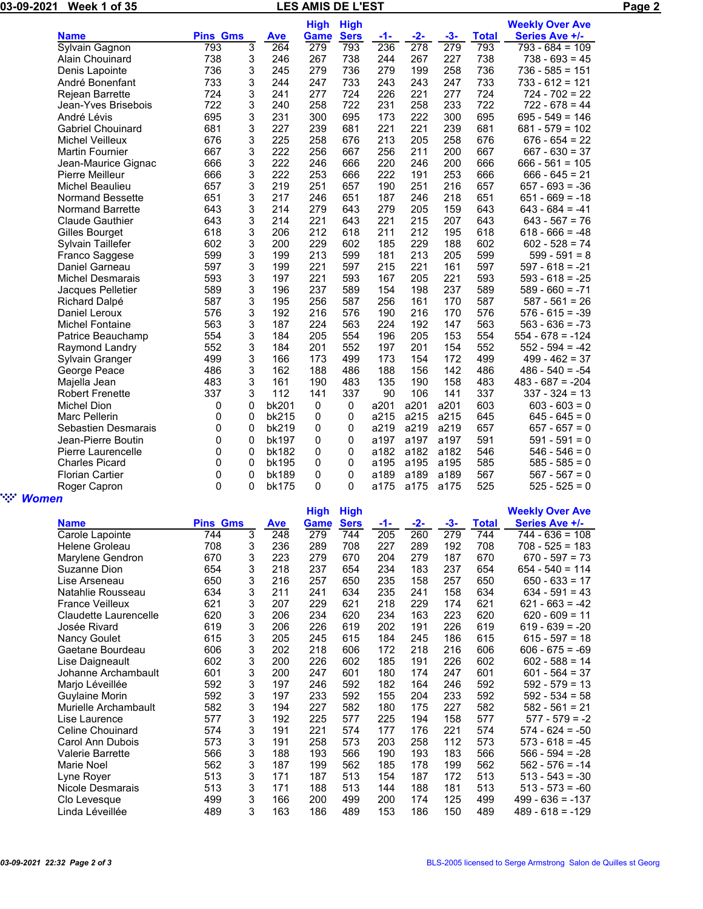| 03-09- | Week  |                      | Paɑe |
|--------|-------|----------------------|------|
| -2021  | of 35 | <b>AMIS DE L'EST</b> |      |
|        |       |                      |      |

|                          |                 |                |            | <b>High</b> | <b>High</b> |      |      |       |              | <b>Weekly Over Ave</b> |
|--------------------------|-----------------|----------------|------------|-------------|-------------|------|------|-------|--------------|------------------------|
| <b>Name</b>              | <b>Pins Gms</b> |                | <b>Ave</b> | Game        | <b>Sers</b> | -1-  | -2-  | $-3-$ | <b>Total</b> | Series Ave +/-         |
| Sylvain Gagnon           | 793             | $\overline{3}$ | 264        | 279         | 793         | 236  | 278  | 279   | 793          | $793 - 684 = 109$      |
| Alain Chouinard          | 738             | 3              | 246        | 267         | 738         | 244  | 267  | 227   | 738          | $738 - 693 = 45$       |
| Denis Lapointe           | 736             | 3              | 245        | 279         | 736         | 279  | 199  | 258   | 736          | $736 - 585 = 151$      |
| André Bonenfant          | 733             | 3              | 244        | 247         | 733         | 243  | 243  | 247   | 733          | $733 - 612 = 121$      |
| Rejean Barrette          | 724             | 3              | 241        | 277         | 724         | 226  | 221  | 277   | 724          | $724 - 702 = 22$       |
| Jean-Yves Brisebois      | 722             | 3              | 240        | 258         | 722         | 231  | 258  | 233   | 722          | $722 - 678 = 44$       |
| André Lévis              | 695             | 3              | 231        | 300         | 695         | 173  | 222  | 300   | 695          | $695 - 549 = 146$      |
| <b>Gabriel Chouinard</b> | 681             | 3              | 227        | 239         | 681         | 221  | 221  | 239   | 681          | $681 - 579 = 102$      |
| Michel Veilleux          | 676             | 3              | 225        | 258         | 676         | 213  | 205  | 258   | 676          | $676 - 654 = 22$       |
| <b>Martin Fournier</b>   | 667             | 3              | 222        | 256         | 667         | 256  | 211  | 200   | 667          | $667 - 630 = 37$       |
| Jean-Maurice Gignac      | 666             | 3              | 222        | 246         | 666         | 220  | 246  | 200   | 666          | $666 - 561 = 105$      |
| Pierre Meilleur          | 666             | 3              | 222        | 253         | 666         | 222  | 191  | 253   | 666          | $666 - 645 = 21$       |
| Michel Beaulieu          | 657             | 3              | 219        | 251         | 657         | 190  | 251  | 216   | 657          | $657 - 693 = -36$      |
| <b>Normand Bessette</b>  | 651             | 3              | 217        | 246         | 651         | 187  | 246  | 218   | 651          | $651 - 669 = -18$      |
| <b>Normand Barrette</b>  | 643             | 3              | 214        | 279         | 643         | 279  | 205  | 159   | 643          | $643 - 684 = -41$      |
| <b>Claude Gauthier</b>   | 643             | 3              | 214        | 221         | 643         | 221  | 215  | 207   | 643          | $643 - 567 = 76$       |
| Gilles Bourget           | 618             | 3              | 206        | 212         | 618         | 211  | 212  | 195   | 618          | $618 - 666 = -48$      |
| Sylvain Taillefer        | 602             | 3              | 200        | 229         | 602         | 185  | 229  | 188   | 602          | $602 - 528 = 74$       |
| Franco Saggese           | 599             | 3              | 199        | 213         | 599         | 181  | 213  | 205   | 599          | $599 - 591 = 8$        |
| Daniel Garneau           | 597             | 3              | 199        | 221         | 597         | 215  | 221  | 161   | 597          | $597 - 618 = -21$      |
| <b>Michel Desmarais</b>  | 593             | 3              | 197        | 221         | 593         | 167  | 205  | 221   | 593          | $593 - 618 = -25$      |
| Jacques Pelletier        | 589             | 3              | 196        | 237         | 589         | 154  | 198  | 237   | 589          | $589 - 660 = -71$      |
| <b>Richard Dalpé</b>     | 587             | 3              | 195        | 256         | 587         | 256  | 161  | 170   | 587          | $587 - 561 = 26$       |
| Daniel Leroux            | 576             | 3              | 192        | 216         | 576         | 190  | 216  | 170   | 576          | $576 - 615 = -39$      |
| <b>Michel Fontaine</b>   | 563             | 3              | 187        | 224         | 563         | 224  | 192  | 147   | 563          | $563 - 636 = -73$      |
| Patrice Beauchamp        | 554             | 3              | 184        | 205         | 554         | 196  | 205  | 153   | 554          | $554 - 678 = -124$     |
| Raymond Landry           | 552             | 3              | 184        | 201         | 552         | 197  | 201  | 154   | 552          | $552 - 594 = -42$      |
| Sylvain Granger          | 499             | 3              | 166        | 173         | 499         | 173  | 154  | 172   | 499          | $499 - 462 = 37$       |
| George Peace             | 486             | 3              | 162        | 188         | 486         | 188  | 156  | 142   | 486          | $486 - 540 = -54$      |
| Majella Jean             | 483             | 3              | 161        | 190         | 483         | 135  | 190  | 158   | 483          | $483 - 687 = -204$     |
| <b>Robert Frenette</b>   | 337             | 3              | 112        | 141         | 337         | 90   | 106  | 141   | 337          | $337 - 324 = 13$       |
| Michel Dion              | 0               | 0              | bk201      | 0           | 0           | a201 | a201 | a201  | 603          | $603 - 603 = 0$        |
| Marc Pellerin            | 0               | 0              | bk215      | 0           | 0           | a215 | a215 | a215  | 645          | $645 - 645 = 0$        |
| Sebastien Desmarais      | 0               | 0              | bk219      | 0           | 0           | a219 | a219 | a219  | 657          | $657 - 657 = 0$        |
| Jean-Pierre Boutin       | 0               | 0              | bk197      | 0           | 0           | a197 | a197 | a197  | 591          | $591 - 591 = 0$        |
| Pierre Laurencelle       | 0               | 0              | bk182      | 0           | 0           | a182 | a182 | a182  | 546          | $546 - 546 = 0$        |
| <b>Charles Picard</b>    | 0               | 0              | bk195      | 0           | 0           | a195 | a195 | a195  | 585          | $585 - 585 = 0$        |
| <b>Florian Cartier</b>   | 0               | $\mathbf 0$    | bk189      | 0           | 0           | a189 | a189 | a189  | 567          | $567 - 567 = 0$        |

## " *Women*

|                         |                 |   |            | <b>High</b> | <b>High</b> |     |       |     |              | <b>Weekly Over Ave</b> |
|-------------------------|-----------------|---|------------|-------------|-------------|-----|-------|-----|--------------|------------------------|
| <b>Name</b>             | <b>Pins Gms</b> |   | <b>Ave</b> | Game        | <b>Sers</b> | -1- | $-2-$ | -3- | <b>Total</b> | Series Ave +/-         |
| Carole Lapointe         | 744             | 3 | 248        | 279         | 744         | 205 | 260   | 279 | 744          | $744 - 636 = 108$      |
| Helene Groleau          | 708             | 3 | 236        | 289         | 708         | 227 | 289   | 192 | 708          | $708 - 525 = 183$      |
| Marylene Gendron        | 670             | 3 | 223        | 279         | 670         | 204 | 279   | 187 | 670          | $670 - 597 = 73$       |
| Suzanne Dion            | 654             | 3 | 218        | 237         | 654         | 234 | 183   | 237 | 654          | $654 - 540 = 114$      |
| Lise Arseneau           | 650             | 3 | 216        | 257         | 650         | 235 | 158   | 257 | 650          | $650 - 633 = 17$       |
| Natahlie Rousseau       | 634             | 3 | 211        | 241         | 634         | 235 | 241   | 158 | 634          | $634 - 591 = 43$       |
| <b>France Veilleux</b>  | 621             | 3 | 207        | 229         | 621         | 218 | 229   | 174 | 621          | $621 - 663 = -42$      |
| Claudette Laurencelle   | 620             | 3 | 206        | 234         | 620         | 234 | 163   | 223 | 620          | $620 - 609 = 11$       |
| Josée Rivard            | 619             | 3 | 206        | 226         | 619         | 202 | 191   | 226 | 619          | $619 - 639 = -20$      |
| Nancy Goulet            | 615             | 3 | 205        | 245         | 615         | 184 | 245   | 186 | 615          | $615 - 597 = 18$       |
| Gaetane Bourdeau        | 606             | 3 | 202        | 218         | 606         | 172 | 218   | 216 | 606          | $606 - 675 = -69$      |
| Lise Daigneault         | 602             | 3 | 200        | 226         | 602         | 185 | 191   | 226 | 602          | $602 - 588 = 14$       |
| Johanne Archambault     | 601             | 3 | 200        | 247         | 601         | 180 | 174   | 247 | 601          | $601 - 564 = 37$       |
| Marjo Léveillée         | 592             | 3 | 197        | 246         | 592         | 182 | 164   | 246 | 592          | $592 - 579 = 13$       |
| <b>Guylaine Morin</b>   | 592             | 3 | 197        | 233         | 592         | 155 | 204   | 233 | 592          | $592 - 534 = 58$       |
| Murielle Archambault    | 582             | 3 | 194        | 227         | 582         | 180 | 175   | 227 | 582          | $582 - 561 = 21$       |
| Lise Laurence           | 577             | 3 | 192        | 225         | 577         | 225 | 194   | 158 | 577          | $577 - 579 = -2$       |
| Celine Chouinard        | 574             | 3 | 191        | 221         | 574         | 177 | 176   | 221 | 574          | $574 - 624 = -50$      |
| Carol Ann Dubois        | 573             | 3 | 191        | 258         | 573         | 203 | 258   | 112 | 573          | $573 - 618 = -45$      |
| <b>Valerie Barrette</b> | 566             | 3 | 188        | 193         | 566         | 190 | 193   | 183 | 566          | $566 - 594 = -28$      |
| Marie Noel              | 562             | 3 | 187        | 199         | 562         | 185 | 178   | 199 | 562          | $562 - 576 = -14$      |
| Lyne Royer              | 513             | 3 | 171        | 187         | 513         | 154 | 187   | 172 | 513          | $513 - 543 = -30$      |
| Nicole Desmarais        | 513             | 3 | 171        | 188         | 513         | 144 | 188   | 181 | 513          | $513 - 573 = -60$      |
| Clo Levesque            | 499             | 3 | 166        | 200         | 499         | 200 | 174   | 125 | 499          | $499 - 636 = -137$     |
| Linda Léveillée         | 489             | 3 | 163        | 186         | 489         | 153 | 186   | 150 | 489          | $489 - 618 = -129$     |

Roger Capron 0 0 bk175 0 0 a175 a175 a175 525 525 - 525 = 0